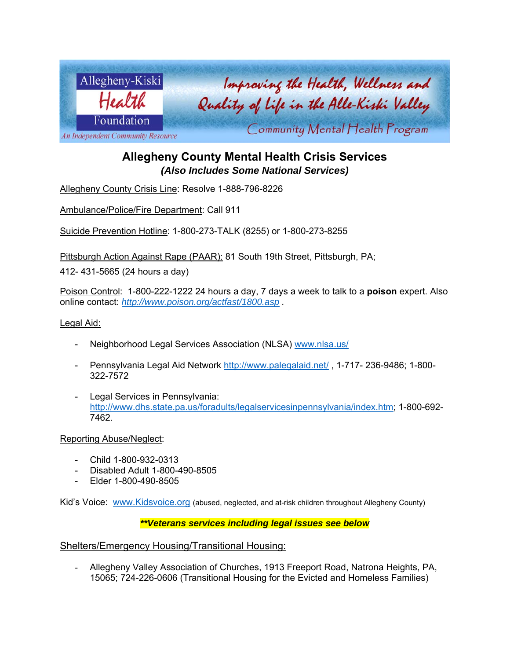

# **Allegheny County Mental Health Crisis Services**  *(Also Includes Some National Services)*

Allegheny County Crisis Line: Resolve 1-888-796-8226

Ambulance/Police/Fire Department: Call 911

Suicide Prevention Hotline: 1-800-273-TALK (8255) or 1-800-273-8255

Pittsburgh Action Against Rape (PAAR): 81 South 19th Street, Pittsburgh, PA;

412- 431-5665 (24 hours a day)

Poison Control: 1-800-222-1222 24 hours a day, 7 days a week to talk to a **poison** expert. Also online contact: *http://www.poison.org/actfast/1800.asp .*

Legal Aid:

- Neighborhood Legal Services Association (NLSA) www.nlsa.us/
- Pennsylvania Legal Aid Network http://www.palegalaid.net/ , 1-717- 236-9486; 1-800- 322-7572
- Legal Services in Pennsylvania: http://www.dhs.state.pa.us/foradults/legalservicesinpennsylvania/index.htm; 1-800-692- 7462.

Reporting Abuse/Neglect:

- Child 1-800-932-0313
- Disabled Adult 1-800-490-8505
- Elder 1-800-490-8505

Kid's Voice: www.Kidsvoice.org (abused, neglected, and at-risk children throughout Allegheny County)

*\*\*Veterans services including legal issues see below* 

Shelters/Emergency Housing/Transitional Housing:

- Allegheny Valley Association of Churches, 1913 Freeport Road, Natrona Heights, PA, 15065; 724-226-0606 (Transitional Housing for the Evicted and Homeless Families)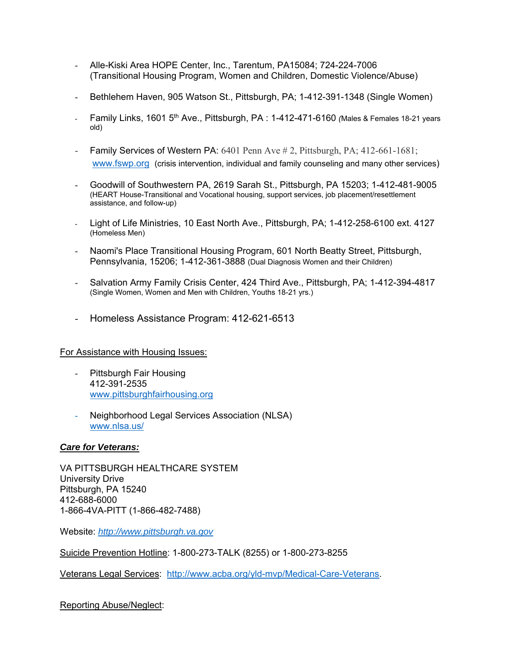- Alle-Kiski Area HOPE Center, Inc., Tarentum, PA15084; 724-224-7006 (Transitional Housing Program, Women and Children, Domestic Violence/Abuse)
- Bethlehem Haven, 905 Watson St., Pittsburgh, PA; 1-412-391-1348 (Single Women)
- Family Links, 1601 5th Ave., Pittsburgh, PA : 1-412-471-6160 *(*Males & Females 18-21 years old)
- Family Services of Western PA: 6401 Penn Ave # 2, Pittsburgh, PA; 412-661-1681; www.fswp.org (crisis intervention, individual and family counseling and many other services)
- Goodwill of Southwestern PA, 2619 Sarah St., Pittsburgh, PA 15203; 1-412-481-9005 (HEART House-Transitional and Vocational housing, support services, job placement/resettlement assistance, and follow-up)
- Light of Life Ministries, 10 East North Ave., Pittsburgh, PA; 1-412-258-6100 ext. 4127 (Homeless Men)
- Naomi's Place Transitional Housing Program, 601 North Beatty Street, Pittsburgh, Pennsylvania, 15206; 1-412-361-3888 (Dual Diagnosis Women and their Children)
- Salvation Army Family Crisis Center, 424 Third Ave., Pittsburgh, PA; 1-412-394-4817 (Single Women, Women and Men with Children, Youths 18-21 yrs.)
- Homeless Assistance Program: 412-621-6513

### For Assistance with Housing Issues:

- Pittsburgh Fair Housing 412-391-2535 www.pittsburghfairhousing.org
- Neighborhood Legal Services Association (NLSA) www.nlsa.us/

### *Care for Veterans:*

VA PITTSBURGH HEALTHCARE SYSTEM University Drive Pittsburgh, PA 15240 412-688-6000 1-866-4VA-PITT (1-866-482-7488)

Website: *http://www.pittsburgh.va.gov*

Suicide Prevention Hotline: 1-800-273-TALK (8255) or 1-800-273-8255

Veterans Legal Services: http://www.acba.org/yld-mvp/Medical-Care-Veterans.

### Reporting Abuse/Neglect: